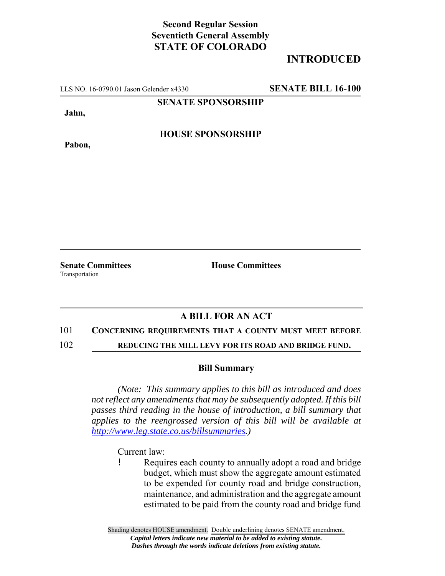# **Second Regular Session Seventieth General Assembly STATE OF COLORADO**

# **INTRODUCED**

LLS NO. 16-0790.01 Jason Gelender x4330 **SENATE BILL 16-100**

**SENATE SPONSORSHIP**

**Jahn,**

**Pabon,**

**HOUSE SPONSORSHIP**

Transportation

**Senate Committees House Committees** 

## **A BILL FOR AN ACT**

#### 101 **CONCERNING REQUIREMENTS THAT A COUNTY MUST MEET BEFORE**

102 **REDUCING THE MILL LEVY FOR ITS ROAD AND BRIDGE FUND.**

### **Bill Summary**

*(Note: This summary applies to this bill as introduced and does not reflect any amendments that may be subsequently adopted. If this bill passes third reading in the house of introduction, a bill summary that applies to the reengrossed version of this bill will be available at http://www.leg.state.co.us/billsummaries.)*

Current law:

! Requires each county to annually adopt a road and bridge budget, which must show the aggregate amount estimated to be expended for county road and bridge construction, maintenance, and administration and the aggregate amount estimated to be paid from the county road and bridge fund

Shading denotes HOUSE amendment. Double underlining denotes SENATE amendment. *Capital letters indicate new material to be added to existing statute. Dashes through the words indicate deletions from existing statute.*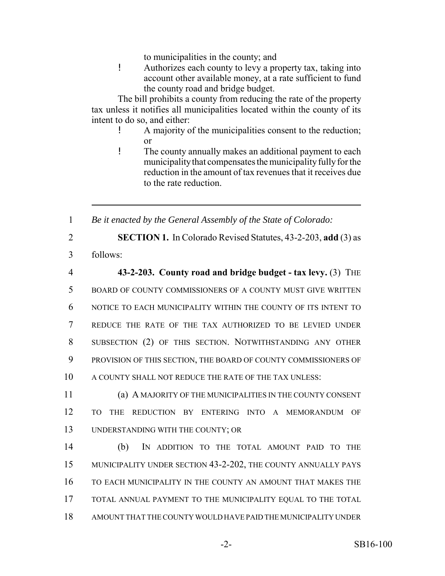to municipalities in the county; and

! Authorizes each county to levy a property tax, taking into account other available money, at a rate sufficient to fund the county road and bridge budget.

The bill prohibits a county from reducing the rate of the property tax unless it notifies all municipalities located within the county of its intent to do so, and either:

- ! A majority of the municipalities consent to the reduction; or
- ! The county annually makes an additional payment to each municipality that compensates the municipality fully for the reduction in the amount of tax revenues that it receives due to the rate reduction.

1 *Be it enacted by the General Assembly of the State of Colorado:*

2 **SECTION 1.** In Colorado Revised Statutes, 43-2-203, **add** (3) as

3 follows:

 **43-2-203. County road and bridge budget - tax levy.** (3) THE BOARD OF COUNTY COMMISSIONERS OF A COUNTY MUST GIVE WRITTEN NOTICE TO EACH MUNICIPALITY WITHIN THE COUNTY OF ITS INTENT TO REDUCE THE RATE OF THE TAX AUTHORIZED TO BE LEVIED UNDER SUBSECTION (2) OF THIS SECTION. NOTWITHSTANDING ANY OTHER PROVISION OF THIS SECTION, THE BOARD OF COUNTY COMMISSIONERS OF A COUNTY SHALL NOT REDUCE THE RATE OF THE TAX UNLESS:

11 (a) A MAJORITY OF THE MUNICIPALITIES IN THE COUNTY CONSENT 12 TO THE REDUCTION BY ENTERING INTO A MEMORANDUM OF 13 UNDERSTANDING WITH THE COUNTY; OR

 (b) IN ADDITION TO THE TOTAL AMOUNT PAID TO THE MUNICIPALITY UNDER SECTION 43-2-202, THE COUNTY ANNUALLY PAYS TO EACH MUNICIPALITY IN THE COUNTY AN AMOUNT THAT MAKES THE TOTAL ANNUAL PAYMENT TO THE MUNICIPALITY EQUAL TO THE TOTAL AMOUNT THAT THE COUNTY WOULD HAVE PAID THE MUNICIPALITY UNDER